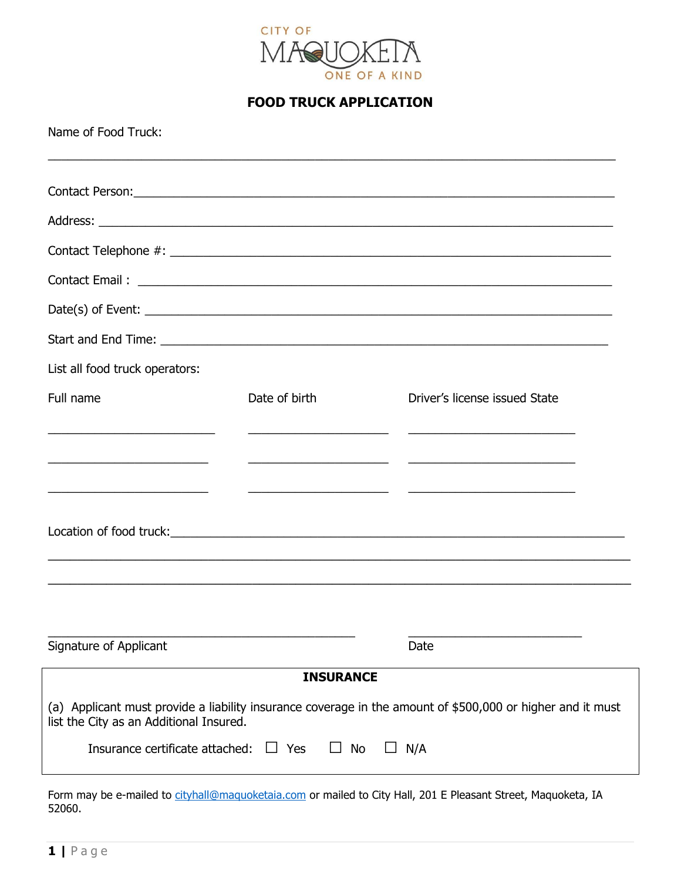

## **FOOD TRUCK APPLICATION**

Name of Food Truck:

| List all food truck operators:                    |                                               |                                                                                                            |
|---------------------------------------------------|-----------------------------------------------|------------------------------------------------------------------------------------------------------------|
| Full name                                         | Date of birth                                 | Driver's license issued State                                                                              |
| <u> 1989 - Andrea Andrew Maria (h. 1989).</u>     | <u> 1989 - Andrea Andrew Maria (h. 1989).</u> |                                                                                                            |
|                                                   |                                               |                                                                                                            |
| <u> 1989 - Jan Barnett, mars et al. (b. 1989)</u> |                                               |                                                                                                            |
|                                                   |                                               |                                                                                                            |
|                                                   |                                               |                                                                                                            |
|                                                   |                                               |                                                                                                            |
|                                                   |                                               |                                                                                                            |
| Signature of Applicant                            |                                               | Date                                                                                                       |
|                                                   | <b>INSURANCE</b>                              |                                                                                                            |
| list the City as an Additional Insured.           |                                               | (a) Applicant must provide a liability insurance coverage in the amount of \$500,000 or higher and it must |
| Insurance certificate attached:                   | $\Box$ Yes<br>No<br>ப                         | N/A                                                                                                        |

Form may be e-mailed to [cityhall@maquoketaia.com](mailto:cityhall@maquoketaia.com) or mailed to City Hall, 201 E Pleasant Street, Maquoketa, IA 52060.